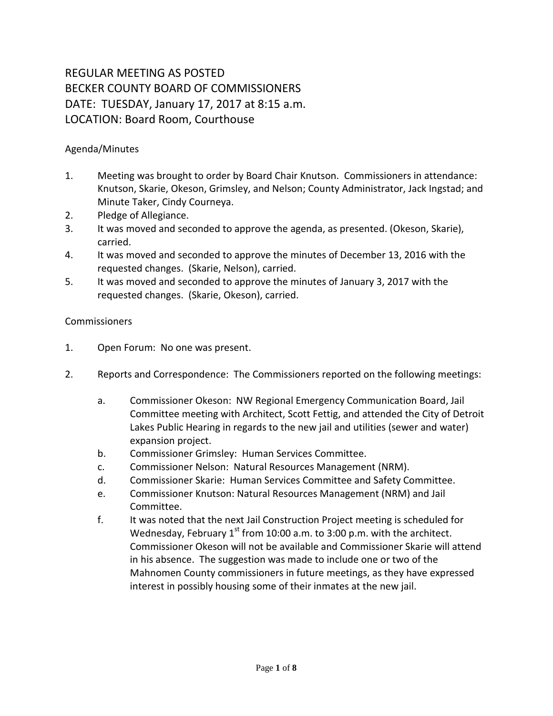## REGULAR MEETING AS POSTED BECKER COUNTY BOARD OF COMMISSIONERS DATE: TUESDAY, January 17, 2017 at 8:15 a.m. LOCATION: Board Room, Courthouse

## Agenda/Minutes

- 1. Meeting was brought to order by Board Chair Knutson. Commissioners in attendance: Knutson, Skarie, Okeson, Grimsley, and Nelson; County Administrator, Jack Ingstad; and Minute Taker, Cindy Courneya.
- 2. Pledge of Allegiance.
- 3. It was moved and seconded to approve the agenda, as presented. (Okeson, Skarie), carried.
- 4. It was moved and seconded to approve the minutes of December 13, 2016 with the requested changes. (Skarie, Nelson), carried.
- 5. It was moved and seconded to approve the minutes of January 3, 2017 with the requested changes. (Skarie, Okeson), carried.

## Commissioners

- 1. Open Forum: No one was present.
- 2. Reports and Correspondence: The Commissioners reported on the following meetings:
	- a. Commissioner Okeson: NW Regional Emergency Communication Board, Jail Committee meeting with Architect, Scott Fettig, and attended the City of Detroit Lakes Public Hearing in regards to the new jail and utilities (sewer and water) expansion project.
	- b. Commissioner Grimsley: Human Services Committee.
	- c. Commissioner Nelson: Natural Resources Management (NRM).
	- d. Commissioner Skarie: Human Services Committee and Safety Committee.
	- e. Commissioner Knutson: Natural Resources Management (NRM) and Jail Committee.
	- f. It was noted that the next Jail Construction Project meeting is scheduled for Wednesday, February  $1<sup>st</sup>$  from 10:00 a.m. to 3:00 p.m. with the architect. Commissioner Okeson will not be available and Commissioner Skarie will attend in his absence. The suggestion was made to include one or two of the Mahnomen County commissioners in future meetings, as they have expressed interest in possibly housing some of their inmates at the new jail.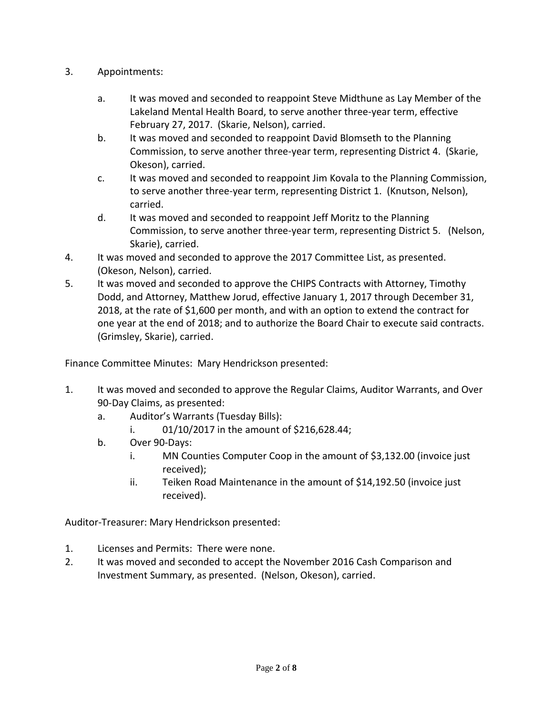- 3. Appointments:
	- a. It was moved and seconded to reappoint Steve Midthune as Lay Member of the Lakeland Mental Health Board, to serve another three-year term, effective February 27, 2017. (Skarie, Nelson), carried.
	- b. It was moved and seconded to reappoint David Blomseth to the Planning Commission, to serve another three-year term, representing District 4. (Skarie, Okeson), carried.
	- c. It was moved and seconded to reappoint Jim Kovala to the Planning Commission, to serve another three-year term, representing District 1. (Knutson, Nelson), carried.
	- d. It was moved and seconded to reappoint Jeff Moritz to the Planning Commission, to serve another three-year term, representing District 5. (Nelson, Skarie), carried.
- 4. It was moved and seconded to approve the 2017 Committee List, as presented. (Okeson, Nelson), carried.
- 5. It was moved and seconded to approve the CHIPS Contracts with Attorney, Timothy Dodd, and Attorney, Matthew Jorud, effective January 1, 2017 through December 31, 2018, at the rate of \$1,600 per month, and with an option to extend the contract for one year at the end of 2018; and to authorize the Board Chair to execute said contracts. (Grimsley, Skarie), carried.

Finance Committee Minutes: Mary Hendrickson presented:

- 1. It was moved and seconded to approve the Regular Claims, Auditor Warrants, and Over 90-Day Claims, as presented:
	- a. Auditor's Warrants (Tuesday Bills):
		- i. 01/10/2017 in the amount of \$216,628.44;
	- b. Over 90-Days:
		- i. MN Counties Computer Coop in the amount of \$3,132.00 (invoice just received);
		- ii. Teiken Road Maintenance in the amount of \$14,192.50 (invoice just received).

Auditor-Treasurer: Mary Hendrickson presented:

- 1. Licenses and Permits: There were none.
- 2. It was moved and seconded to accept the November 2016 Cash Comparison and Investment Summary, as presented. (Nelson, Okeson), carried.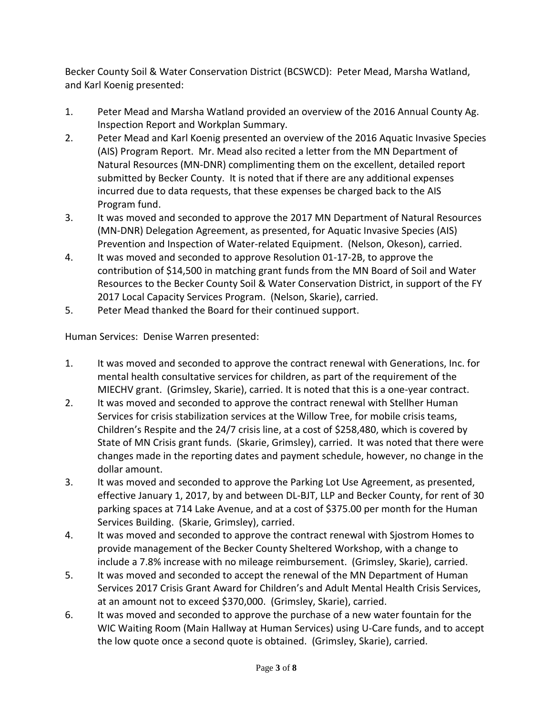Becker County Soil & Water Conservation District (BCSWCD): Peter Mead, Marsha Watland, and Karl Koenig presented:

- 1. Peter Mead and Marsha Watland provided an overview of the 2016 Annual County Ag. Inspection Report and Workplan Summary.
- 2. Peter Mead and Karl Koenig presented an overview of the 2016 Aquatic Invasive Species (AIS) Program Report. Mr. Mead also recited a letter from the MN Department of Natural Resources (MN-DNR) complimenting them on the excellent, detailed report submitted by Becker County. It is noted that if there are any additional expenses incurred due to data requests, that these expenses be charged back to the AIS Program fund.
- 3. It was moved and seconded to approve the 2017 MN Department of Natural Resources (MN-DNR) Delegation Agreement, as presented, for Aquatic Invasive Species (AIS) Prevention and Inspection of Water-related Equipment. (Nelson, Okeson), carried.
- 4. It was moved and seconded to approve Resolution 01-17-2B, to approve the contribution of \$14,500 in matching grant funds from the MN Board of Soil and Water Resources to the Becker County Soil & Water Conservation District, in support of the FY 2017 Local Capacity Services Program. (Nelson, Skarie), carried.
- 5. Peter Mead thanked the Board for their continued support.

Human Services: Denise Warren presented:

- 1. It was moved and seconded to approve the contract renewal with Generations, Inc. for mental health consultative services for children, as part of the requirement of the MIECHV grant. (Grimsley, Skarie), carried. It is noted that this is a one-year contract.
- 2. It was moved and seconded to approve the contract renewal with Stellher Human Services for crisis stabilization services at the Willow Tree, for mobile crisis teams, Children's Respite and the 24/7 crisis line, at a cost of \$258,480, which is covered by State of MN Crisis grant funds. (Skarie, Grimsley), carried. It was noted that there were changes made in the reporting dates and payment schedule, however, no change in the dollar amount.
- 3. It was moved and seconded to approve the Parking Lot Use Agreement, as presented, effective January 1, 2017, by and between DL-BJT, LLP and Becker County, for rent of 30 parking spaces at 714 Lake Avenue, and at a cost of \$375.00 per month for the Human Services Building. (Skarie, Grimsley), carried.
- 4. It was moved and seconded to approve the contract renewal with Sjostrom Homes to provide management of the Becker County Sheltered Workshop, with a change to include a 7.8% increase with no mileage reimbursement. (Grimsley, Skarie), carried.
- 5. It was moved and seconded to accept the renewal of the MN Department of Human Services 2017 Crisis Grant Award for Children's and Adult Mental Health Crisis Services, at an amount not to exceed \$370,000. (Grimsley, Skarie), carried.
- 6. It was moved and seconded to approve the purchase of a new water fountain for the WIC Waiting Room (Main Hallway at Human Services) using U-Care funds, and to accept the low quote once a second quote is obtained. (Grimsley, Skarie), carried.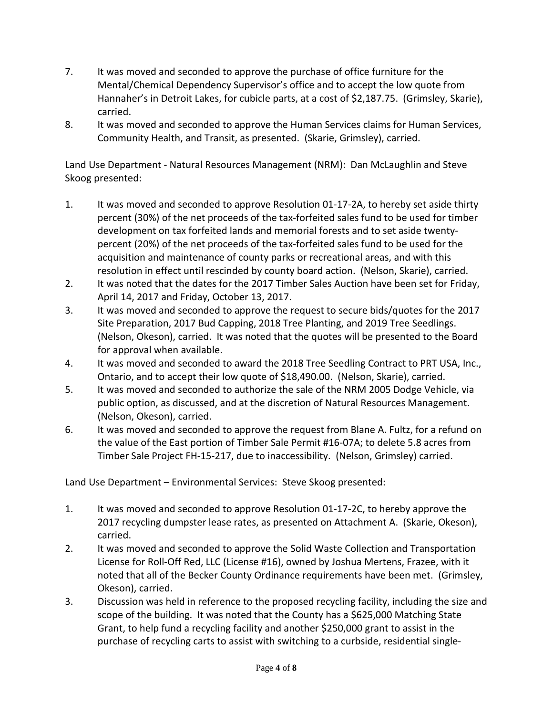- 7. It was moved and seconded to approve the purchase of office furniture for the Mental/Chemical Dependency Supervisor's office and to accept the low quote from Hannaher's in Detroit Lakes, for cubicle parts, at a cost of \$2,187.75. (Grimsley, Skarie), carried.
- 8. It was moved and seconded to approve the Human Services claims for Human Services, Community Health, and Transit, as presented. (Skarie, Grimsley), carried.

Land Use Department - Natural Resources Management (NRM): Dan McLaughlin and Steve Skoog presented:

- 1. It was moved and seconded to approve Resolution 01-17-2A, to hereby set aside thirty percent (30%) of the net proceeds of the tax-forfeited sales fund to be used for timber development on tax forfeited lands and memorial forests and to set aside twentypercent (20%) of the net proceeds of the tax-forfeited sales fund to be used for the acquisition and maintenance of county parks or recreational areas, and with this resolution in effect until rescinded by county board action. (Nelson, Skarie), carried.
- 2. It was noted that the dates for the 2017 Timber Sales Auction have been set for Friday, April 14, 2017 and Friday, October 13, 2017.
- 3. It was moved and seconded to approve the request to secure bids/quotes for the 2017 Site Preparation, 2017 Bud Capping, 2018 Tree Planting, and 2019 Tree Seedlings. (Nelson, Okeson), carried. It was noted that the quotes will be presented to the Board for approval when available.
- 4. It was moved and seconded to award the 2018 Tree Seedling Contract to PRT USA, Inc., Ontario, and to accept their low quote of \$18,490.00. (Nelson, Skarie), carried.
- 5. It was moved and seconded to authorize the sale of the NRM 2005 Dodge Vehicle, via public option, as discussed, and at the discretion of Natural Resources Management. (Nelson, Okeson), carried.
- 6. It was moved and seconded to approve the request from Blane A. Fultz, for a refund on the value of the East portion of Timber Sale Permit #16-07A; to delete 5.8 acres from Timber Sale Project FH-15-217, due to inaccessibility. (Nelson, Grimsley) carried.

Land Use Department – Environmental Services: Steve Skoog presented:

- 1. It was moved and seconded to approve Resolution 01-17-2C, to hereby approve the 2017 recycling dumpster lease rates, as presented on Attachment A. (Skarie, Okeson), carried.
- 2. It was moved and seconded to approve the Solid Waste Collection and Transportation License for Roll-Off Red, LLC (License #16), owned by Joshua Mertens, Frazee, with it noted that all of the Becker County Ordinance requirements have been met. (Grimsley, Okeson), carried.
- 3. Discussion was held in reference to the proposed recycling facility, including the size and scope of the building. It was noted that the County has a \$625,000 Matching State Grant, to help fund a recycling facility and another \$250,000 grant to assist in the purchase of recycling carts to assist with switching to a curbside, residential single-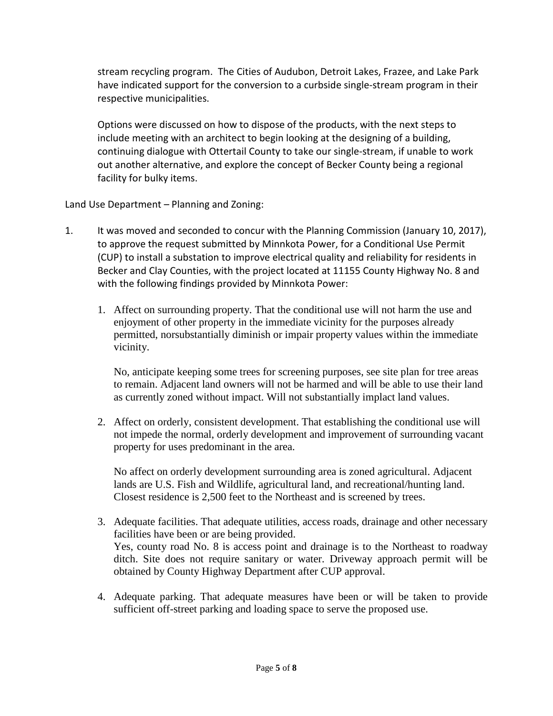stream recycling program. The Cities of Audubon, Detroit Lakes, Frazee, and Lake Park have indicated support for the conversion to a curbside single-stream program in their respective municipalities.

Options were discussed on how to dispose of the products, with the next steps to include meeting with an architect to begin looking at the designing of a building, continuing dialogue with Ottertail County to take our single-stream, if unable to work out another alternative, and explore the concept of Becker County being a regional facility for bulky items.

Land Use Department – Planning and Zoning:

- 1. It was moved and seconded to concur with the Planning Commission (January 10, 2017), to approve the request submitted by Minnkota Power, for a Conditional Use Permit (CUP) to install a substation to improve electrical quality and reliability for residents in Becker and Clay Counties, with the project located at 11155 County Highway No. 8 and with the following findings provided by Minnkota Power:
	- 1. Affect on surrounding property. That the conditional use will not harm the use and enjoyment of other property in the immediate vicinity for the purposes already permitted, norsubstantially diminish or impair property values within the immediate vicinity.

No, anticipate keeping some trees for screening purposes, see site plan for tree areas to remain. Adjacent land owners will not be harmed and will be able to use their land as currently zoned without impact. Will not substantially implact land values.

2. Affect on orderly, consistent development. That establishing the conditional use will not impede the normal, orderly development and improvement of surrounding vacant property for uses predominant in the area.

No affect on orderly development surrounding area is zoned agricultural. Adjacent lands are U.S. Fish and Wildlife, agricultural land, and recreational/hunting land. Closest residence is 2,500 feet to the Northeast and is screened by trees.

- 3. Adequate facilities. That adequate utilities, access roads, drainage and other necessary facilities have been or are being provided. Yes, county road No. 8 is access point and drainage is to the Northeast to roadway ditch. Site does not require sanitary or water. Driveway approach permit will be obtained by County Highway Department after CUP approval.
- 4. Adequate parking. That adequate measures have been or will be taken to provide sufficient off-street parking and loading space to serve the proposed use.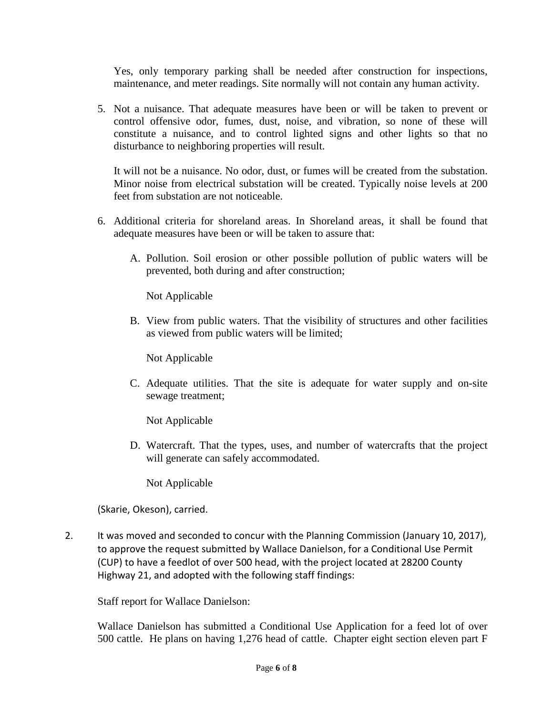Yes, only temporary parking shall be needed after construction for inspections, maintenance, and meter readings. Site normally will not contain any human activity.

5. Not a nuisance. That adequate measures have been or will be taken to prevent or control offensive odor, fumes, dust, noise, and vibration, so none of these will constitute a nuisance, and to control lighted signs and other lights so that no disturbance to neighboring properties will result.

It will not be a nuisance. No odor, dust, or fumes will be created from the substation. Minor noise from electrical substation will be created. Typically noise levels at 200 feet from substation are not noticeable.

- 6. Additional criteria for shoreland areas. In Shoreland areas, it shall be found that adequate measures have been or will be taken to assure that:
	- A. Pollution. Soil erosion or other possible pollution of public waters will be prevented, both during and after construction;

Not Applicable

B. View from public waters. That the visibility of structures and other facilities as viewed from public waters will be limited;

Not Applicable

C. Adequate utilities. That the site is adequate for water supply and on-site sewage treatment;

Not Applicable

D. Watercraft. That the types, uses, and number of watercrafts that the project will generate can safely accommodated.

Not Applicable

(Skarie, Okeson), carried.

2. It was moved and seconded to concur with the Planning Commission (January 10, 2017), to approve the request submitted by Wallace Danielson, for a Conditional Use Permit (CUP) to have a feedlot of over 500 head, with the project located at 28200 County Highway 21, and adopted with the following staff findings:

Staff report for Wallace Danielson:

Wallace Danielson has submitted a Conditional Use Application for a feed lot of over 500 cattle. He plans on having 1,276 head of cattle. Chapter eight section eleven part F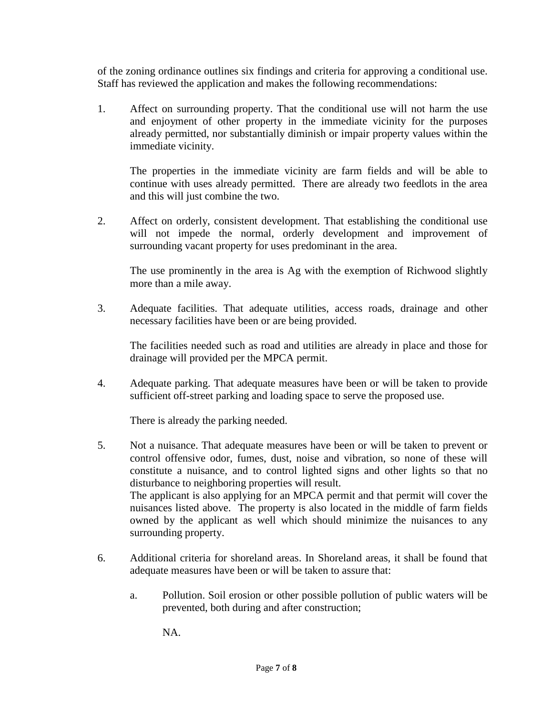of the zoning ordinance outlines six findings and criteria for approving a conditional use. Staff has reviewed the application and makes the following recommendations:

1. Affect on surrounding property. That the conditional use will not harm the use and enjoyment of other property in the immediate vicinity for the purposes already permitted, nor substantially diminish or impair property values within the immediate vicinity.

The properties in the immediate vicinity are farm fields and will be able to continue with uses already permitted. There are already two feedlots in the area and this will just combine the two.

2. Affect on orderly, consistent development. That establishing the conditional use will not impede the normal, orderly development and improvement of surrounding vacant property for uses predominant in the area.

The use prominently in the area is Ag with the exemption of Richwood slightly more than a mile away.

3. Adequate facilities. That adequate utilities, access roads, drainage and other necessary facilities have been or are being provided.

The facilities needed such as road and utilities are already in place and those for drainage will provided per the MPCA permit.

4. Adequate parking. That adequate measures have been or will be taken to provide sufficient off-street parking and loading space to serve the proposed use.

There is already the parking needed.

- 5. Not a nuisance. That adequate measures have been or will be taken to prevent or control offensive odor, fumes, dust, noise and vibration, so none of these will constitute a nuisance, and to control lighted signs and other lights so that no disturbance to neighboring properties will result. The applicant is also applying for an MPCA permit and that permit will cover the nuisances listed above. The property is also located in the middle of farm fields owned by the applicant as well which should minimize the nuisances to any surrounding property.
- 6. Additional criteria for shoreland areas. In Shoreland areas, it shall be found that adequate measures have been or will be taken to assure that:
	- a. Pollution. Soil erosion or other possible pollution of public waters will be prevented, both during and after construction;

NA.